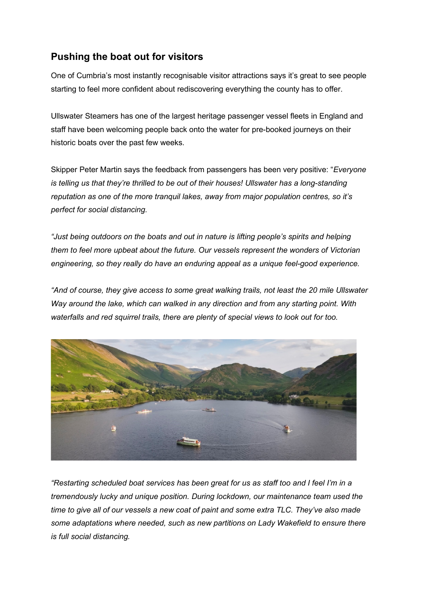## **Pushing the boat out for visitors**

One of Cumbria's most instantly recognisable visitor attractions says it's great to see people starting to feel more confident about rediscovering everything the county has to offer.

Ullswater Steamers has one of the largest heritage passenger vessel fleets in England and staff have been welcoming people back onto the water for pre-booked journeys on their historic boats over the past few weeks.

Skipper Peter Martin says the feedback from passengers has been very positive: "*Everyone is telling us that they're thrilled to be out of their houses! Ullswater has a long-standing reputation as one of the more tranquil lakes, away from major population centres, so it's perfect for social distancing.*

*"Just being outdoors on the boats and out in nature is lifting people's spirits and helping them to feel more upbeat about the future. Our vessels represent the wonders of Victorian engineering, so they really do have an enduring appeal as a unique feel-good experience.*

*"And of course, they give access to some great walking trails, not least the 20 mile Ullswater Way around the lake, which can walked in any direction and from any starting point. With waterfalls and red squirrel trails, there are plenty of special views to look out for too.*



*"Restarting scheduled boat services has been great for us as staff too and I feel I'm in a tremendously lucky and unique position. During lockdown, our maintenance team used the time to give all of our vessels a new coat of paint and some extra TLC. They've also made some adaptations where needed, such as new partitions on Lady Wakefield to ensure there is full social distancing.*